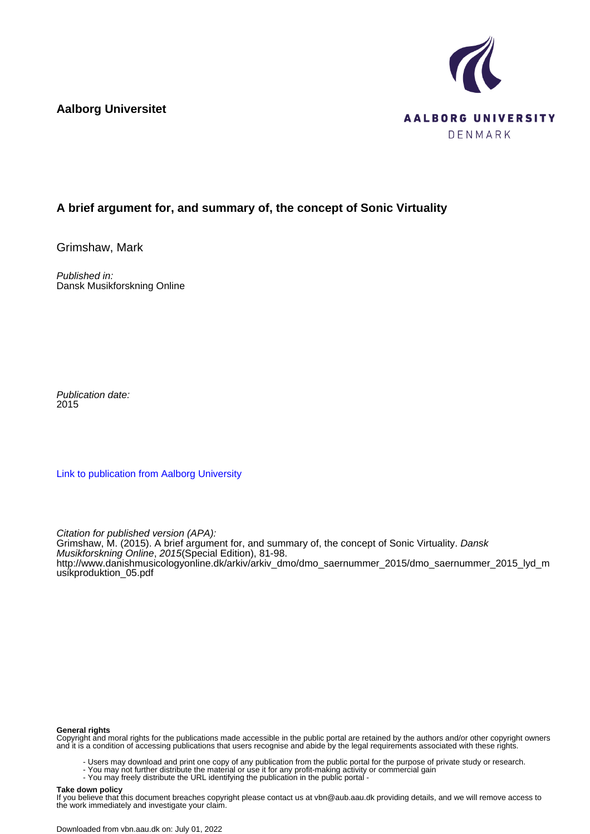**Aalborg Universitet**



# **A brief argument for, and summary of, the concept of Sonic Virtuality**

Grimshaw, Mark

Published in: Dansk Musikforskning Online

Publication date: 2015

[Link to publication from Aalborg University](https://vbn.aau.dk/en/publications/6aaa6493-6340-4b35-bc9c-ce9c5a7309e8)

Citation for published version (APA): Grimshaw, M. (2015). A brief argument for, and summary of, the concept of Sonic Virtuality. Dansk Musikforskning Online, 2015(Special Edition), 81-98. [http://www.danishmusicologyonline.dk/arkiv/arkiv\\_dmo/dmo\\_saernummer\\_2015/dmo\\_saernummer\\_2015\\_lyd\\_m](http://www.danishmusicologyonline.dk/arkiv/arkiv_dmo/dmo_saernummer_2015/dmo_saernummer_2015_lyd_musikproduktion_05.pdf) [usikproduktion\\_05.pdf](http://www.danishmusicologyonline.dk/arkiv/arkiv_dmo/dmo_saernummer_2015/dmo_saernummer_2015_lyd_musikproduktion_05.pdf)

#### **General rights**

Copyright and moral rights for the publications made accessible in the public portal are retained by the authors and/or other copyright owners and it is a condition of accessing publications that users recognise and abide by the legal requirements associated with these rights.

- Users may download and print one copy of any publication from the public portal for the purpose of private study or research.
- You may not further distribute the material or use it for any profit-making activity or commercial gain
- You may freely distribute the URL identifying the publication in the public portal -

#### **Take down policy**

If you believe that this document breaches copyright please contact us at vbn@aub.aau.dk providing details, and we will remove access to the work immediately and investigate your claim.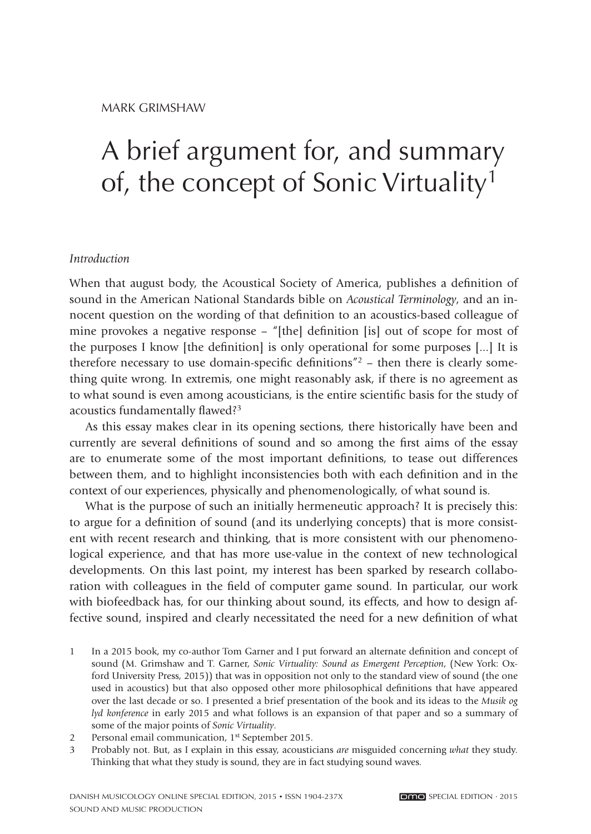# A brief argument for, and summary of, the concept of Sonic Virtuality<sup>1</sup>

#### *Introduction*

When that august body, the Acoustical Society of America, publishes a definition of sound in the American National Standards bible on *Acoustical Terminology*, and an innocent question on the wording of that definition to an acoustics-based colleague of mine provokes a negative response – "[the] definition [is] out of scope for most of the purposes I know [the definition] is only operational for some purposes  $[\dots]$  It is therefore necessary to use domain-specific definitions"<sup>2</sup> – then there is clearly something quite wrong. In extremis, one might reasonably ask, if there is no agreement as to what sound is even among acousticians, is the entire scientific basis for the study of acoustics fundamentally flawed?<sup>3</sup>

As this essay makes clear in its opening sections, there historically have been and currently are several definitions of sound and so among the first aims of the essay are to enumerate some of the most important definitions, to tease out differences between them, and to highlight inconsistencies both with each definition and in the context of our experiences, physically and phenomenologically, of what sound is.

What is the purpose of such an initially hermeneutic approach? It is precisely this: to argue for a definition of sound (and its underlying concepts) that is more consistent with recent research and thinking, that is more consistent with our phenomenological experience, and that has more use-value in the context of new technological developments. On this last point, my interest has been sparked by research collaboration with colleagues in the field of computer game sound. In particular, our work with biofeedback has, for our thinking about sound, its effects, and how to design affective sound, inspired and clearly necessitated the need for a new definition of what

- 1 In a 2015 book, my co-author Tom Garner and I put forward an alternate definition and concept of sound (M. Grimshaw and T. Garner, *Sonic Virtuality: Sound as Emergent Perception*, (New York: Oxford University Press, 2015)) that was in opposition not only to the standard view of sound (the one used in acoustics) but that also opposed other more philosophical definitions that have appeared over the last decade or so. I presented a brief presentation of the book and its ideas to the *Musik og lyd konference* in early 2015 and what follows is an expansion of that paper and so a summary of some of the major points of *Sonic Virtuality*.
- 2 Personal email communication, 1<sup>st</sup> September 2015.
- 3 Probably not. But, as I explain in this essay, acousticians *are* misguided concerning *what* they study. Thinking that what they study is sound, they are in fact studying sound waves.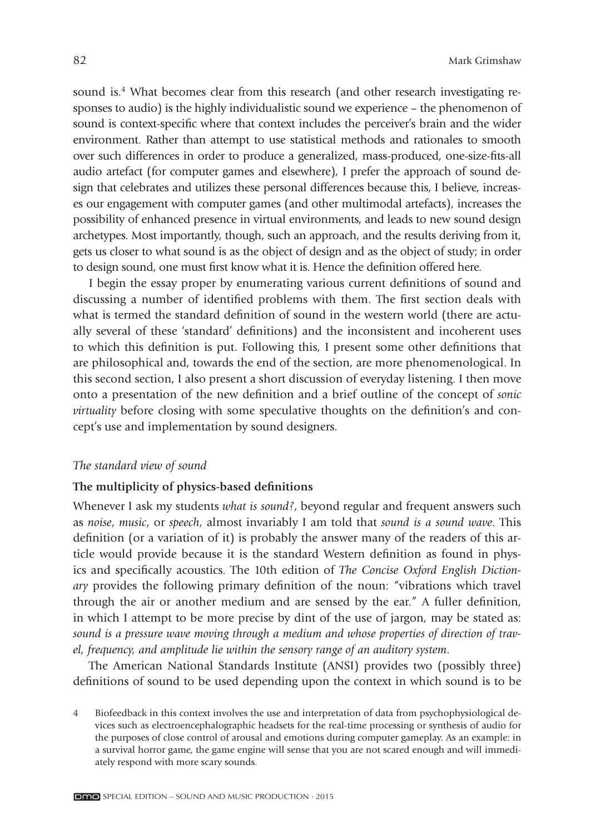sound is.<sup>4</sup> What becomes clear from this research (and other research investigating responses to audio) is the highly individualistic sound we experience – the phenomenon of sound is context-specific where that context includes the perceiver's brain and the wider environment. Rather than attempt to use statistical methods and rationales to smooth over such differences in order to produce a generalized, mass-produced, one-size-fits-all audio artefact (for computer games and elsewhere), I prefer the approach of sound design that celebrates and utilizes these personal differences because this, I believe, increases our engagement with computer games (and other multimodal artefacts), increases the possibility of enhanced presence in virtual environments, and leads to new sound design archetypes. Most importantly, though, such an approach, and the results deriving from it, gets us closer to what sound is as the object of design and as the object of study; in order to design sound, one must first know what it is. Hence the definition offered here.

I begin the essay proper by enumerating various current definitions of sound and discussing a number of identified problems with them. The first section deals with what is termed the standard definition of sound in the western world (there are actually several of these 'standard' definitions) and the inconsistent and incoherent uses to which this definition is put. Following this, I present some other definitions that are philosophical and, towards the end of the section, are more phenomenological. In this second section, I also present a short discussion of everyday listening. I then move onto a presentation of the new definition and a brief outline of the concept of *sonic virtuality* before closing with some speculative thoughts on the definition's and concept's use and implementation by sound designers.

#### *The standard view of sound*

# The multiplicity of physics-based definitions

Whenever I ask my students *what is sound?*, beyond regular and frequent answers such as *noise*, *music*, or *speech*, almost invariably I am told that *sound is a sound wave*. This definition (or a variation of it) is probably the answer many of the readers of this article would provide because it is the standard Western definition as found in physics and specifically acoustics. The 10th edition of *The Concise Oxford English Dictionary* provides the following primary definition of the noun: "vibrations which travel through the air or another medium and are sensed by the ear." A fuller definition, in which I attempt to be more precise by dint of the use of jargon, may be stated as: *sound is a pressure wave moving through a medium and whose properties of direction of travel, frequency, and amplitude lie within the sensory range of an auditory system*.

The American National Standards Institute (ANSI) provides two (possibly three) definitions of sound to be used depending upon the context in which sound is to be

<sup>4</sup> Biofeedback in this context involves the use and interpretation of data from psychophysiological devices such as electroencephalographic headsets for the real-time processing or synthesis of audio for the purposes of close control of arousal and emotions during computer gameplay. As an example: in a survival horror game, the game engine will sense that you are not scared enough and will immediately respond with more scary sounds.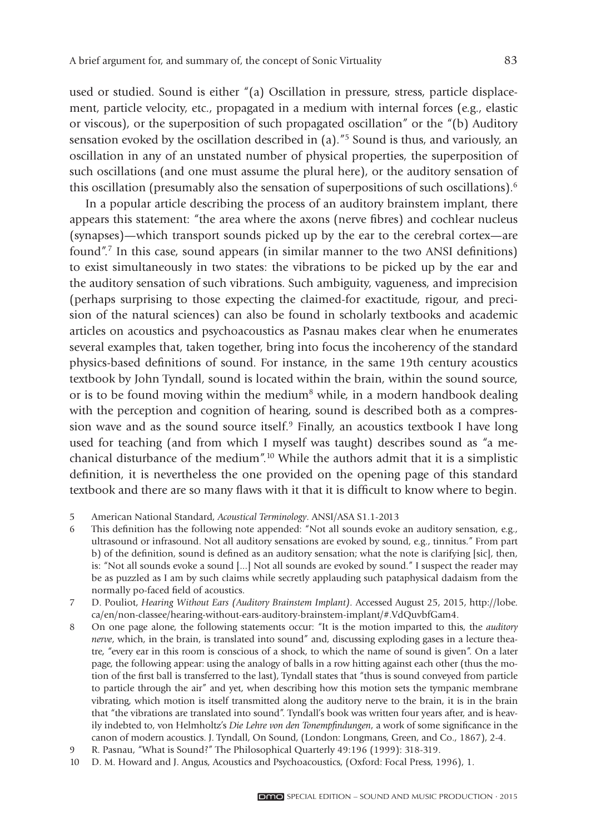used or studied. Sound is either "(a) Oscillation in pressure, stress, particle displacement, particle velocity, etc., propagated in a medium with internal forces (e.g., elastic or viscous), or the superposition of such propagated oscillation" or the "(b) Auditory sensation evoked by the oscillation described in (a).<sup>"5</sup> Sound is thus, and variously, an oscillation in any of an unstated number of physical properties, the superposition of such oscillations (and one must assume the plural here), or the auditory sensation of this oscillation (presumably also the sensation of superpositions of such oscillations).<sup>6</sup>

In a popular article describing the process of an auditory brainstem implant, there appears this statement: "the area where the axons (nerve fibres) and cochlear nucleus (synapses)—which transport sounds picked up by the ear to the cerebral cortex—are found".<sup>7</sup> In this case, sound appears (in similar manner to the two ANSI definitions) to exist simultaneously in two states: the vibrations to be picked up by the ear and the auditory sensation of such vibrations. Such ambiguity, vagueness, and imprecision (perhaps surprising to those expecting the claimed-for exactitude, rigour, and precision of the natural sciences) can also be found in scholarly textbooks and academic articles on acoustics and psychoacoustics as Pasnau makes clear when he enumerates several examples that, taken together, bring into focus the incoherency of the standard physics-based definitions of sound. For instance, in the same 19th century acoustics textbook by John Tyndall, sound is located within the brain, within the sound source, or is to be found moving within the medium<sup>8</sup> while, in a modern handbook dealing with the perception and cognition of hearing, sound is described both as a compression wave and as the sound source itself. $9$  Finally, an acoustics textbook I have long used for teaching (and from which I myself was taught) describes sound as "a mechanical disturbance of the medium".10 While the authors admit that it is a simplistic definition, it is nevertheless the one provided on the opening page of this standard textbook and there are so many flaws with it that it is difficult to know where to begin.

- 5 American National Standard, *Acoustical Terminology*. ANSI/ASA S1.1-2013
- 6 This definition has the following note appended: "Not all sounds evoke an auditory sensation, e.g., ultrasound or infrasound. Not all auditory sensations are evoked by sound, e.g., tinnitus." From part b) of the definition, sound is defined as an auditory sensation; what the note is clarifying [sic], then, is: "Not all sounds evoke a sound [...] Not all sounds are evoked by sound." I suspect the reader may be as puzzled as I am by such claims while secretly applauding such pataphysical dadaism from the normally po-faced field of acoustics.
- 7 D. Pouliot, *Hearing Without Ears (Auditory Brainstem Implant).* Accessed August 25, 2015, http://lobe. ca/en/non-classee/hearing-without-ears-auditory-brainstem-implant/#.VdQuvbfGam4.
- 8 On one page alone, the following statements occur: "It is the motion imparted to this, the *auditory nerve*, which, in the brain, is translated into sound" and, discussing exploding gases in a lecture theatre, "every ear in this room is conscious of a shock, to which the name of sound is given". On a later page, the following appear: using the analogy of balls in a row hitting against each other (thus the motion of the first ball is transferred to the last), Tyndall states that "thus is sound conveyed from particle to particle through the air" and yet, when describing how this motion sets the tympanic membrane vibrating, which motion is itself transmitted along the auditory nerve to the brain, it is in the brain that "the vibrations are translated into sound". Tyndall's book was written four years after, and is heavily indebted to, von Helmholtz's *Die Lehre von den Tonempfindungen*, a work of some significance in the canon of modern acoustics. J. Tyndall, On Sound, (London: Longmans, Green, and Co., 1867), 2-4.
- 9 R. Pasnau, "What is Sound?" The Philosophical Quarterly 49:196 (1999): 318-319.
- 10 D. M. Howard and J. Angus, Acoustics and Psychoacoustics, (Oxford: Focal Press, 1996), 1.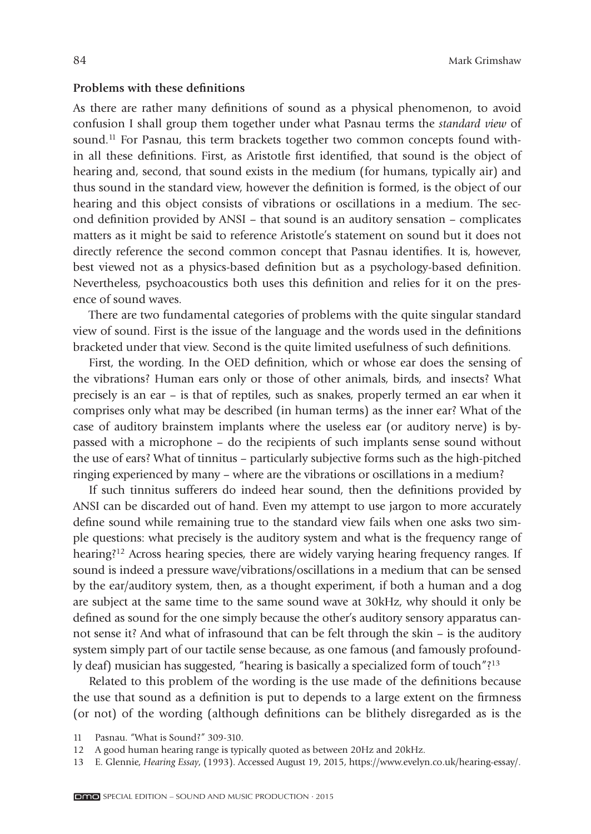84 Mark Grimshaw

#### **Problems with these definitions**

As there are rather many definitions of sound as a physical phenomenon, to avoid confusion I shall group them together under what Pasnau terms the *standard view* of sound.<sup>11</sup> For Pasnau, this term brackets together two common concepts found within all these definitions. First, as Aristotle first identified, that sound is the object of hearing and, second, that sound exists in the medium (for humans, typically air) and thus sound in the standard view, however the definition is formed, is the object of our hearing and this object consists of vibrations or oscillations in a medium. The second definition provided by ANSI – that sound is an auditory sensation – complicates matters as it might be said to reference Aristotle's statement on sound but it does not directly reference the second common concept that Pasnau identifies. It is, however, best viewed not as a physics-based definition but as a psychology-based definition. Nevertheless, psychoacoustics both uses this definition and relies for it on the presence of sound waves.

There are two fundamental categories of problems with the quite singular standard view of sound. First is the issue of the language and the words used in the definitions bracketed under that view. Second is the quite limited usefulness of such definitions.

First, the wording. In the OED definition, which or whose ear does the sensing of the vibrations? Human ears only or those of other animals, birds, and insects? What precisely is an ear – is that of reptiles, such as snakes, properly termed an ear when it comprises only what may be described (in human terms) as the inner ear? What of the case of auditory brainstem implants where the useless ear (or auditory nerve) is bypassed with a microphone – do the recipients of such implants sense sound without the use of ears? What of tinnitus – particularly subjective forms such as the high-pitched ringing experienced by many – where are the vibrations or oscillations in a medium?

If such tinnitus sufferers do indeed hear sound, then the definitions provided by ANSI can be discarded out of hand. Even my attempt to use jargon to more accurately define sound while remaining true to the standard view fails when one asks two simple questions: what precisely is the auditory system and what is the frequency range of hearing?<sup>12</sup> Across hearing species, there are widely varying hearing frequency ranges. If sound is indeed a pressure wave/vibrations/oscillations in a medium that can be sensed by the ear/auditory system, then, as a thought experiment, if both a human and a dog are subject at the same time to the same sound wave at 30kHz, why should it only be defined as sound for the one simply because the other's auditory sensory apparatus cannot sense it? And what of infrasound that can be felt through the skin – is the auditory system simply part of our tactile sense because, as one famous (and famously profoundly deaf) musician has suggested, "hearing is basically a specialized form of touch"?13

Related to this problem of the wording is the use made of the definitions because the use that sound as a definition is put to depends to a large extent on the firmness (or not) of the wording (although definitions can be blithely disregarded as is the

<sup>11</sup> Pasnau. "What is Sound?" 309-310.

<sup>12</sup> A good human hearing range is typically quoted as between 20Hz and 20kHz.

<sup>13</sup> E. Glennie, *Hearing Essay*, (1993). Accessed August 19, 2015, https://www.evelyn.co.uk/hearing- essay/.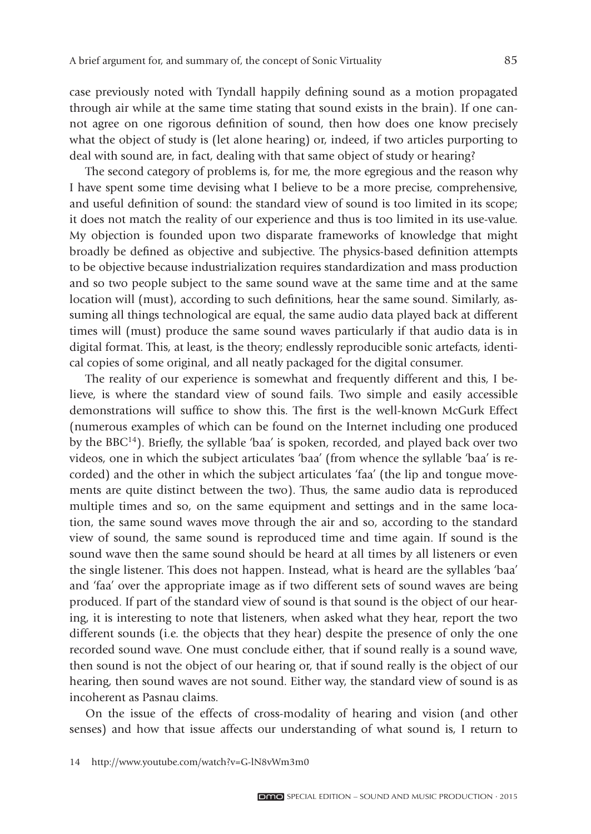case previously noted with Tyndall happily defining sound as a motion propagated through air while at the same time stating that sound exists in the brain). If one cannot agree on one rigorous definition of sound, then how does one know precisely what the object of study is (let alone hearing) or, indeed, if two articles purporting to deal with sound are, in fact, dealing with that same object of study or hearing?

The second category of problems is, for me, the more egregious and the reason why I have spent some time devising what I believe to be a more precise, comprehensive, and useful definition of sound: the standard view of sound is too limited in its scope; it does not match the reality of our experience and thus is too limited in its use- value. My objection is founded upon two disparate frameworks of knowledge that might broadly be defined as objective and subjective. The physics-based definition attempts to be objective because industrialization requires standardization and mass production and so two people subject to the same sound wave at the same time and at the same location will (must), according to such definitions, hear the same sound. Similarly, assuming all things technological are equal, the same audio data played back at different times will (must) produce the same sound waves particularly if that audio data is in digital format. This, at least, is the theory; endlessly reproducible sonic artefacts, identical copies of some original, and all neatly packaged for the digital consumer.

The reality of our experience is somewhat and frequently different and this, I believe, is where the standard view of sound fails. Two simple and easily accessible demonstrations will suffice to show this. The first is the well-known McGurk Effect ( numerous examples of which can be found on the Internet including one produced by the BBC<sup>14</sup>). Briefly, the syllable 'baa' is spoken, recorded, and played back over two videos, one in which the subject articulates 'baa' (from whence the syllable 'baa' is recorded) and the other in which the subject articulates 'faa' (the lip and tongue movements are quite distinct between the two). Thus, the same audio data is reproduced multiple times and so, on the same equipment and settings and in the same location, the same sound waves move through the air and so, according to the standard view of sound, the same sound is reproduced time and time again. If sound is the sound wave then the same sound should be heard at all times by all listeners or even the single listener. This does not happen. Instead, what is heard are the syllables 'baa' and 'faa' over the appropriate image as if two different sets of sound waves are being produced. If part of the standard view of sound is that sound is the object of our hearing, it is interesting to note that listeners, when asked what they hear, report the two different sounds (i.e. the objects that they hear) despite the presence of only the one recorded sound wave. One must conclude either, that if sound really is a sound wave, then sound is not the object of our hearing or, that if sound really is the object of our hearing, then sound waves are not sound. Either way, the standard view of sound is as incoherent as Pasnau claims.

On the issue of the effects of cross-modality of hearing and vision (and other senses) and how that issue affects our understanding of what sound is, I return to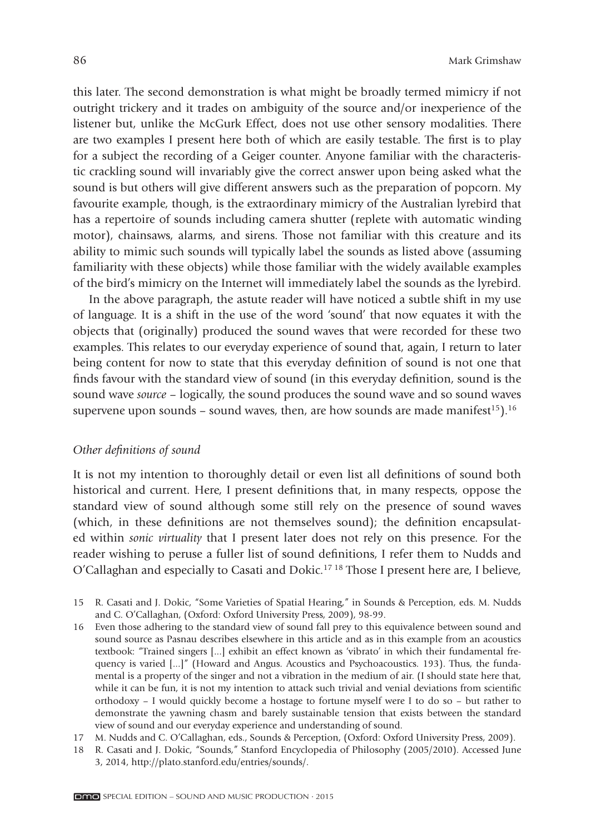this later. The second demonstration is what might be broadly termed mimicry if not outright trickery and it trades on ambiguity of the source and/or inexperience of the listener but, unlike the McGurk Effect, does not use other sensory modalities. There are two examples I present here both of which are easily testable. The first is to play for a subject the recording of a Geiger counter. Anyone familiar with the characteristic crackling sound will invariably give the correct answer upon being asked what the sound is but others will give different answers such as the preparation of popcorn. My favourite example, though, is the extraordinary mimicry of the Australian lyrebird that has a repertoire of sounds including camera shutter (replete with automatic winding motor), chainsaws, alarms, and sirens. Those not familiar with this creature and its ability to mimic such sounds will typically label the sounds as listed above (assuming familiarity with these objects) while those familiar with the widely available examples of the bird's mimicry on the Internet will immediately label the sounds as the lyrebird.

In the above paragraph, the astute reader will have noticed a subtle shift in my use of language. It is a shift in the use of the word 'sound' that now equates it with the objects that (originally) produced the sound waves that were recorded for these two examples. This relates to our everyday experience of sound that, again, I return to later being content for now to state that this everyday definition of sound is not one that finds favour with the standard view of sound (in this everyday definition, sound is the sound wave *source* – logically, the sound produces the sound wave and so sound waves supervene upon sounds – sound waves, then, are how sounds are made manifest<sup>15</sup>).<sup>16</sup>

#### *Other definitions of sound*

It is not my intention to thoroughly detail or even list all definitions of sound both historical and current. Here, I present definitions that, in many respects, oppose the standard view of sound although some still rely on the presence of sound waves (which, in these definitions are not themselves sound); the definition encapsulated within *sonic virtuality* that I present later does not rely on this presence. For the reader wishing to peruse a fuller list of sound definitions, I refer them to Nudds and O'Callaghan and especially to Casati and Dokic.17 18 Those I present here are, I believe,

- 15 R. Casati and J. Dokic, "Some Varieties of Spatial Hearing," in Sounds & Perception, eds. M. Nudds and C. O'Callaghan, (Oxford: Oxford University Press, 2009), 98-99.
- 16 Even those adhering to the standard view of sound fall prey to this equivalence between sound and sound source as Pasnau describes elsewhere in this article and as in this example from an acoustics textbook: "Trained singers [...] exhibit an effect known as 'vibrato' in which their fundamental frequency is varied [...]" (Howard and Angus. Acoustics and Psychoacoustics. 193). Thus, the fundamental is a property of the singer and not a vibration in the medium of air. (I should state here that, while it can be fun, it is not my intention to attack such trivial and venial deviations from scientific orthodoxy – I would quickly become a hostage to fortune myself were I to do so – but rather to demonstrate the yawning chasm and barely sustainable tension that exists between the standard view of sound and our everyday experience and understanding of sound.
- 17 M. Nudds and C. O'Callaghan, eds., Sounds & Perception, (Oxford: Oxford University Press, 2009).
- 18 R. Casati and J. Dokic, "Sounds," Stanford Encyclopedia of Philosophy (2005/2010). Accessed June 3, 2014, http://plato.stanford.edu/entries/sounds/.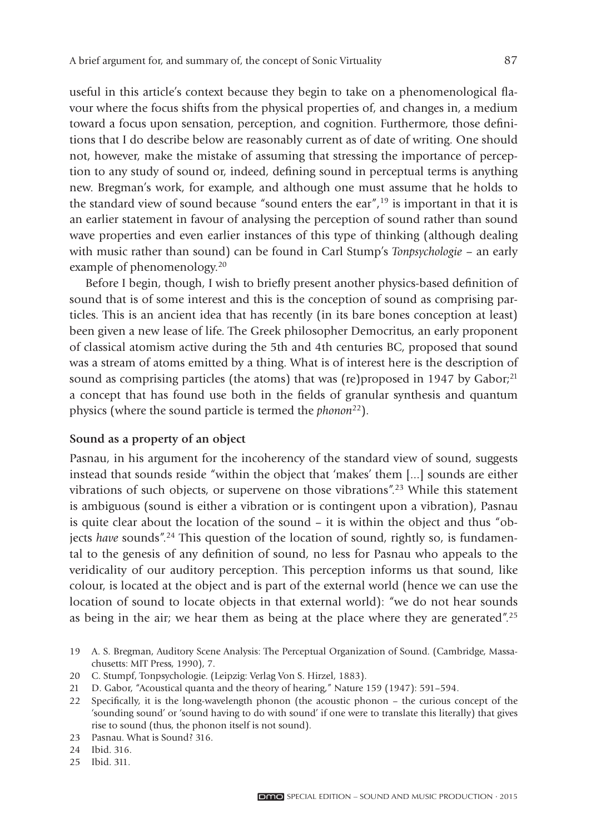useful in this article's context because they begin to take on a phenomenological flavour where the focus shifts from the physical properties of, and changes in, a medium toward a focus upon sensation, perception, and cognition. Furthermore, those definitions that I do describe below are reasonably current as of date of writing. One should not, however, make the mistake of assuming that stressing the importance of perception to any study of sound or, indeed, defining sound in perceptual terms is anything new. Bregman's work, for example, and although one must assume that he holds to the standard view of sound because "sound enters the ear",<sup>19</sup> is important in that it is an earlier statement in favour of analysing the perception of sound rather than sound wave properties and even earlier instances of this type of thinking (although dealing with music rather than sound) can be found in Carl Stump's *Tonpsychologie* – an early example of phenomenology.<sup>20</sup>

Before I begin, though, I wish to briefly present another physics-based definition of sound that is of some interest and this is the conception of sound as comprising particles. This is an ancient idea that has recently (in its bare bones conception at least) been given a new lease of life. The Greek philosopher Democritus, an early proponent of classical atomism active during the 5th and 4th centuries BC, proposed that sound was a stream of atoms emitted by a thing. What is of interest here is the description of sound as comprising particles (the atoms) that was (re)proposed in 1947 by Gabor; $^{21}$ a concept that has found use both in the fields of granular synthesis and quantum physics (where the sound particle is termed the *phonon*<sup>22</sup>).

#### **Sound as a property of an object**

Pasnau, in his argument for the incoherency of the standard view of sound, suggests instead that sounds reside "within the object that 'makes' them [...] sounds are either vibrations of such objects, or supervene on those vibrations".23 While this statement is ambiguous (sound is either a vibration or is contingent upon a vibration), Pasnau is quite clear about the location of the sound – it is within the object and thus "objects *have* sounds".24 This question of the location of sound, rightly so, is fundamental to the genesis of any definition of sound, no less for Pasnau who appeals to the veridicality of our auditory perception. This perception informs us that sound, like colour, is located at the object and is part of the external world (hence we can use the location of sound to locate objects in that external world): "we do not hear sounds as being in the air; we hear them as being at the place where they are generated".25

- 20 C. Stumpf, Tonpsychologie. (Leipzig: Verlag Von S. Hirzel, 1883).
- 21 D. Gabor, "Acoustical quanta and the theory of hearing," Nature 159 (1947): 591–594.
- 22 Specifically, it is the long-wavelength phonon (the acoustic phonon the curious concept of the 'sounding sound' or 'sound having to do with sound' if one were to translate this literally) that gives rise to sound (thus, the phonon itself is not sound).
- 23 Pasnau. What is Sound? 316.

25 Ibid. 311.

<sup>19</sup> A. S. Bregman, Auditory Scene Analysis: The Perceptual Organization of Sound. (Cambridge, Massachusetts: MIT Press, 1990), 7.

<sup>24</sup> Ibid. 316.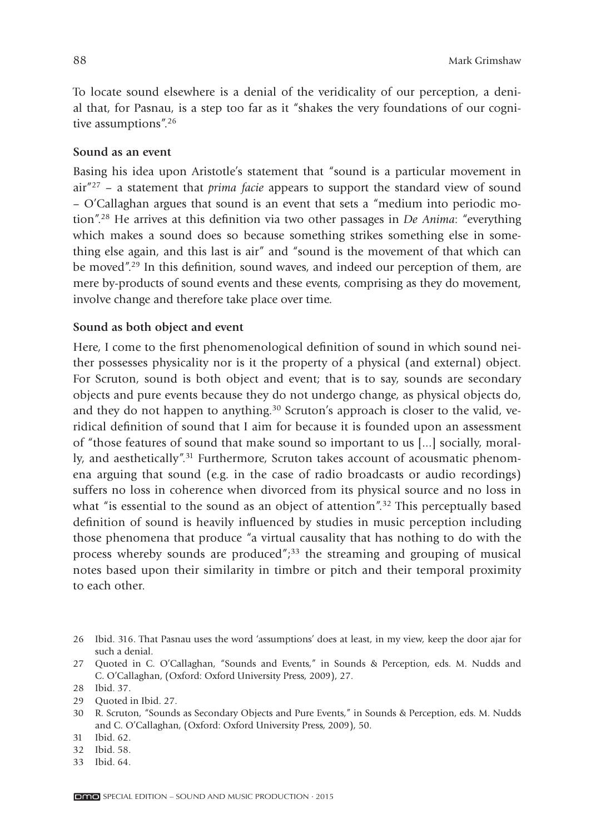To locate sound elsewhere is a denial of the veridicality of our perception, a denial that, for Pasnau, is a step too far as it "shakes the very foundations of our cognitive assumptions".26

#### **Sound as an event**

Basing his idea upon Aristotle's statement that "sound is a particular movement in air"27 – a statement that *prima facie* appears to support the standard view of sound – O'Callaghan argues that sound is an event that sets a "medium into periodic motion".<sup>28</sup> He arrives at this definition via two other passages in *De Anima*: "everything which makes a sound does so because something strikes something else in something else again, and this last is air" and "sound is the movement of that which can be moved".<sup>29</sup> In this definition, sound waves, and indeed our perception of them, are mere by-products of sound events and these events, comprising as they do movement, involve change and therefore take place over time.

# **Sound as both object and event**

Here, I come to the first phenomenological definition of sound in which sound neither possesses physicality nor is it the property of a physical (and external) object. For Scruton, sound is both object and event; that is to say, sounds are secondary objects and pure events because they do not undergo change, as physical objects do, and they do not happen to anything.<sup>30</sup> Scruton's approach is closer to the valid, veridical definition of sound that I aim for because it is founded upon an assessment of "those features of sound that make sound so important to us [...] socially, morally, and aesthetically".<sup>31</sup> Furthermore, Scruton takes account of acousmatic phenomena arguing that sound (e.g. in the case of radio broadcasts or audio recordings) suffers no loss in coherence when divorced from its physical source and no loss in what "is essential to the sound as an object of attention".<sup>32</sup> This perceptually based definition of sound is heavily influenced by studies in music perception including those phenomena that produce "a virtual causality that has nothing to do with the process whereby sounds are produced" $j<sup>33</sup>$  the streaming and grouping of musical notes based upon their similarity in timbre or pitch and their temporal proximity to each other.

33 Ibid. 64.

<sup>26</sup> Ibid. 316. That Pasnau uses the word 'assumptions' does at least, in my view, keep the door ajar for such a denial.

<sup>27</sup> Quoted in C. O'Callaghan, "Sounds and Events," in Sounds & Perception, eds. M. Nudds and C. O'Callaghan, (Oxford: Oxford University Press, 2009), 27.

<sup>28</sup> Ibid. 37.

<sup>29</sup> Quoted in Ibid. 27.

<sup>30</sup> R. Scruton, "Sounds as Secondary Objects and Pure Events," in Sounds & Perception, eds. M. Nudds and C. O'Callaghan, (Oxford: Oxford University Press, 2009), 50.

<sup>31</sup> Ibid. 62.

<sup>32</sup> Ibid. 58.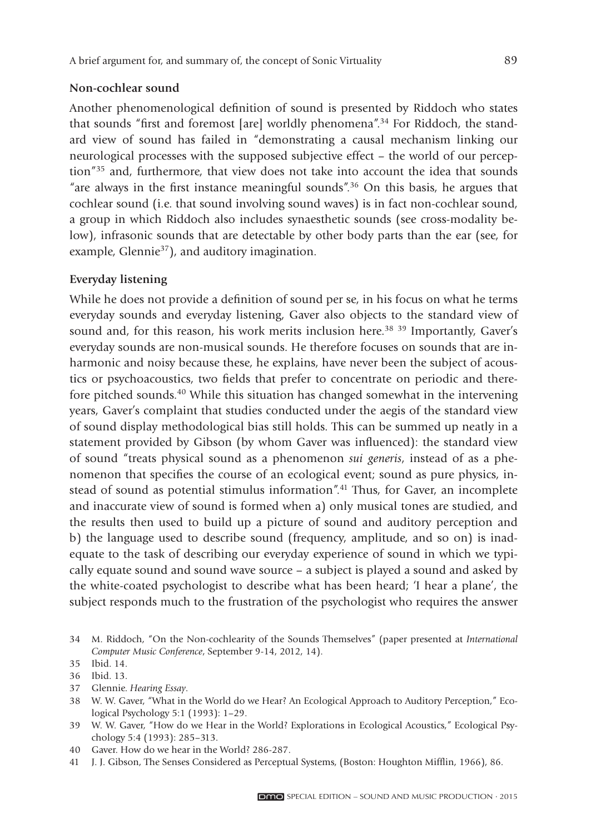#### **Non-cochlear sound**

Another phenomenological definition of sound is presented by Riddoch who states that sounds "first and foremost [are] worldly phenomena".<sup>34</sup> For Riddoch, the standard view of sound has failed in "demonstrating a causal mechanism linking our neurological processes with the supposed subjective effect – the world of our perception"35 and, furthermore, that view does not take into account the idea that sounds "are always in the first instance meaningful sounds".<sup>36</sup> On this basis, he argues that cochlear sound (i.e. that sound involving sound waves) is in fact non-cochlear sound, a group in which Riddoch also includes synaesthetic sounds (see cross-modality below), infrasonic sounds that are detectable by other body parts than the ear (see, for example, Glennie<sup>37</sup>), and auditory imagination.

# **Everyday listening**

While he does not provide a definition of sound per se, in his focus on what he terms everyday sounds and everyday listening, Gaver also objects to the standard view of sound and, for this reason, his work merits inclusion here.<sup>38</sup> <sup>39</sup> Importantly, Gaver's everyday sounds are non-musical sounds. He therefore focuses on sounds that are inharmonic and noisy because these, he explains, have never been the subject of acoustics or psychoacoustics, two fields that prefer to concentrate on periodic and therefore pitched sounds.40 While this situation has changed somewhat in the intervening years, Gaver's complaint that studies conducted under the aegis of the standard view of sound display methodological bias still holds. This can be summed up neatly in a statement provided by Gibson (by whom Gaver was influenced): the standard view of sound "treats physical sound as a phenomenon *sui generis*, instead of as a phenomenon that specifies the course of an ecological event; sound as pure physics, instead of sound as potential stimulus information".41 Thus, for Gaver, an incomplete and inaccurate view of sound is formed when a) only musical tones are studied, and the results then used to build up a picture of sound and auditory perception and b) the language used to describe sound (frequency, amplitude, and so on) is inadequate to the task of describing our everyday experience of sound in which we typically equate sound and sound wave source – a subject is played a sound and asked by the white-coated psychologist to describe what has been heard; 'I hear a plane', the subject responds much to the frustration of the psychologist who requires the answer

37 Glennie. *Hearing Essay*.

<sup>34</sup> M. Riddoch, "On the Non-cochlearity of the Sounds Themselves" (paper presented at *International Computer Music Conference*, September 9-14, 2012, 14).

<sup>35</sup> Ibid. 14.

<sup>36</sup> Ibid. 13.

<sup>38</sup> W. W. Gaver, "What in the World do we Hear? An Ecological Approach to Auditory Perception," Ecological Psychology 5:1 (1993): 1–29.

<sup>39</sup> W. W. Gaver, "How do we Hear in the World? Explorations in Ecological Acoustics," Ecological Psychology 5:4 (1993): 285–313.

<sup>40</sup> Gaver. How do we hear in the World? 286-287.

<sup>41</sup> J. J. Gibson, The Senses Considered as Perceptual Systems, (Boston: Houghton Mifflin, 1966), 86.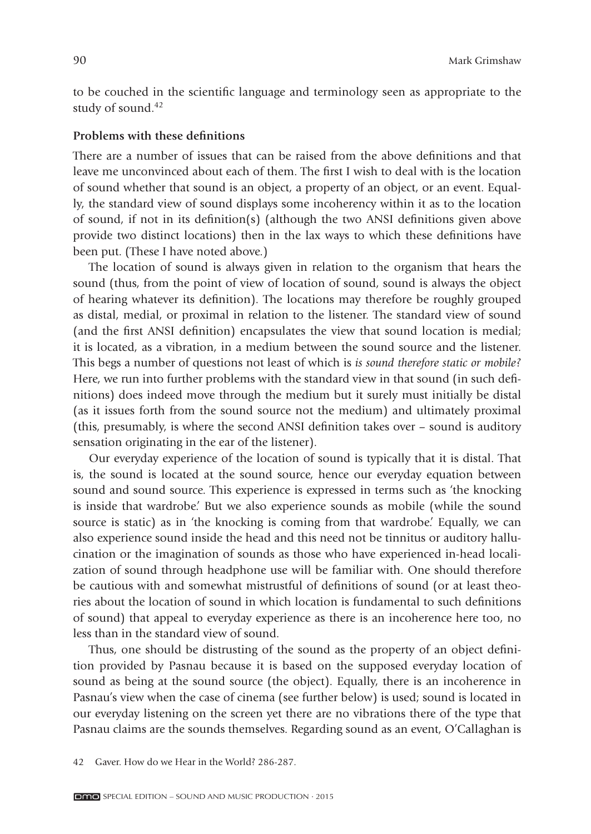to be couched in the scientific language and terminology seen as appropriate to the study of sound.<sup>42</sup>

#### **Problems with these definitions**

There are a number of issues that can be raised from the above definitions and that leave me unconvinced about each of them. The first I wish to deal with is the location of sound whether that sound is an object, a property of an object, or an event. Equally, the standard view of sound displays some incoherency within it as to the location of sound, if not in its definition(s) (although the two ANSI definitions given above provide two distinct locations) then in the lax ways to which these definitions have been put. (These I have noted above.)

The location of sound is always given in relation to the organism that hears the sound (thus, from the point of view of location of sound, sound is always the object of hearing whatever its definition). The locations may therefore be roughly grouped as distal, medial, or proximal in relation to the listener. The standard view of sound (and the first ANSI definition) encapsulates the view that sound location is medial; it is located, as a vibration, in a medium between the sound source and the listener. This begs a number of questions not least of which is *is sound therefore static or mobile?* Here, we run into further problems with the standard view in that sound (in such definitions) does indeed move through the medium but it surely must initially be distal (as it issues forth from the sound source not the medium) and ultimately proximal (this, presumably, is where the second ANSI definition takes over  $-$  sound is auditory sensation originating in the ear of the listener).

Our everyday experience of the location of sound is typically that it is distal. That is, the sound is located at the sound source, hence our everyday equation between sound and sound source. This experience is expressed in terms such as 'the knocking is inside that wardrobe.' But we also experience sounds as mobile (while the sound source is static) as in 'the knocking is coming from that wardrobe.' Equally, we can also experience sound inside the head and this need not be tinnitus or auditory hallucination or the imagination of sounds as those who have experienced in-head localization of sound through headphone use will be familiar with. One should therefore be cautious with and somewhat mistrustful of definitions of sound (or at least theories about the location of sound in which location is fundamental to such definitions of sound) that appeal to everyday experience as there is an incoherence here too, no less than in the standard view of sound.

Thus, one should be distrusting of the sound as the property of an object definition provided by Pasnau because it is based on the supposed everyday location of sound as being at the sound source (the object). Equally, there is an incoherence in Pasnau's view when the case of cinema (see further below) is used; sound is located in our every day listening on the screen yet there are no vibrations there of the type that Pasnau claims are the sounds themselves. Regarding sound as an event, O'Callaghan is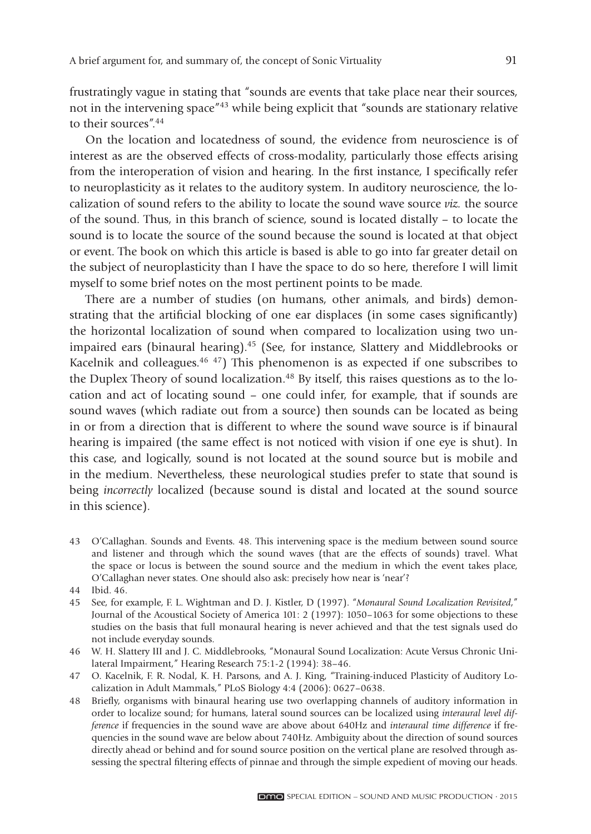frustratingly vague in stating that "sounds are events that take place near their sources, not in the intervening space"43 while being explicit that "sounds are stationary relative to their sources".44

On the location and locatedness of sound, the evidence from neuroscience is of interest as are the observed effects of cross-modality, particularly those effects arising from the interoperation of vision and hearing. In the first instance, I specifically refer to neuroplasticity as it relates to the auditory system. In auditory neuroscience, the localization of sound refers to the ability to locate the sound wave source *viz.* the source of the sound. Thus, in this branch of science, sound is located distally – to locate the sound is to locate the source of the sound because the sound is located at that object or event. The book on which this article is based is able to go into far greater detail on the subject of neuroplasticity than I have the space to do so here, therefore I will limit myself to some brief notes on the most pertinent points to be made.

There are a number of studies (on humans, other animals, and birds) demonstrating that the artificial blocking of one ear displaces (in some cases significantly) the horizontal localization of sound when compared to localization using two unimpaired ears (binaural hearing).45 (See, for instance, Slattery and Middlebrooks or Kacelnik and colleagues.46 47) This phenomenon is as expected if one subscribes to the Duplex Theory of sound localization.<sup>48</sup> By itself, this raises questions as to the location and act of locating sound – one could infer, for example, that if sounds are sound waves (which radiate out from a source) then sounds can be located as being in or from a direction that is different to where the sound wave source is if binaural hearing is impaired (the same effect is not noticed with vision if one eye is shut). In this case, and logically, sound is not located at the sound source but is mobile and in the medium. Nevertheless, these neurological studies prefer to state that sound is being *incorrectly* localized (because sound is distal and located at the sound source in this science).

- 43 O'Callaghan. Sounds and Events. 48. This intervening space is the medium between sound source and listener and through which the sound waves (that are the effects of sounds) travel. What the space or locus is between the sound source and the medium in which the event takes place, O'Callaghan never states. One should also ask: precisely how near is 'near'?
- 44 Ibid. 46.
- 45 See, for example, F. L. Wightman and D. J. Kistler, D (1997). "*Monaural Sound Localization Revisited*," Journal of the Acoustical Society of America 101: 2 (1997): 1050–1063 for some objections to these studies on the basis that full monaural hearing is never achieved and that the test signals used do not include everyday sounds.
- 46 W. H. Slattery III and J. C. Middlebrooks, "Monaural Sound Localization: Acute Versus Chronic Unilateral Impairment," Hearing Research 75:1-2 (1994): 38–46.
- 47 O. Kacelnik, F. R. Nodal, K. H. Parsons, and A. J. King, "Training-induced Plasticity of Auditory Localization in Adult Mammals," PLoS Biology 4:4 (2006): 0627–0638.
- 48 Briefly, organisms with binaural hearing use two overlapping channels of auditory information in order to localize sound; for humans, lateral sound sources can be localized using *interaural level difference* if frequencies in the sound wave are above about 640Hz and *interaural time difference* if frequencies in the sound wave are below about 740Hz. Ambiguity about the direction of sound sources directly ahead or behind and for sound source position on the vertical plane are resolved through assessing the spectral filtering effects of pinnae and through the simple expedient of moving our heads.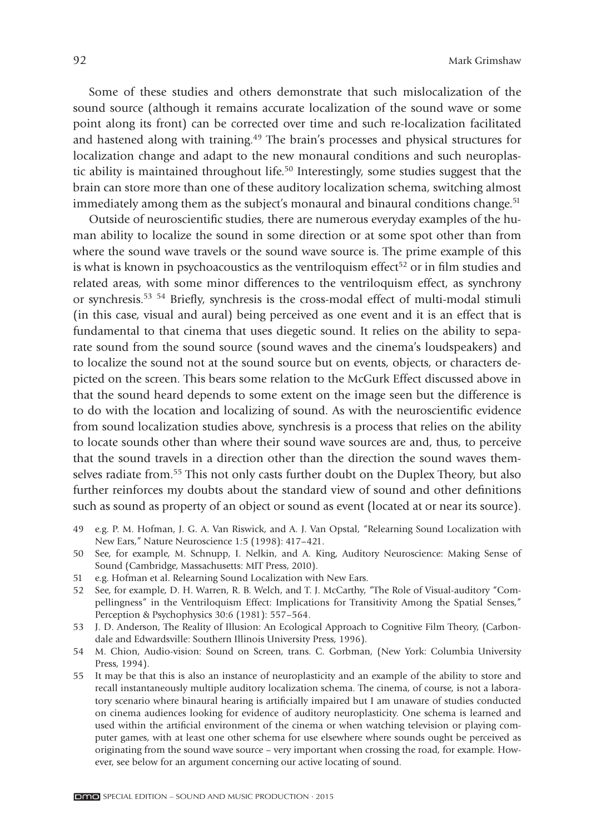Some of these studies and others demonstrate that such mislocalization of the sound source (although it remains accurate localization of the sound wave or some point along its front) can be corrected over time and such re-localization facilitated and hastened along with training.49 The brain's processes and physical structures for localization change and adapt to the new monaural conditions and such neuroplastic ability is maintained throughout life.<sup>50</sup> Interestingly, some studies suggest that the brain can store more than one of these auditory localization schema, switching almost immediately among them as the subject's monaural and binaural conditions change.<sup>51</sup>

Outside of neuroscientific studies, there are numerous everyday examples of the human ability to localize the sound in some direction or at some spot other than from where the sound wave travels or the sound wave source is. The prime example of this is what is known in psychoacoustics as the ventriloquism effect<sup>52</sup> or in film studies and related areas, with some minor differences to the ventriloquism effect, as synchrony or synchresis.<sup>53 54</sup> Briefly, synchresis is the cross-modal effect of multi-modal stimuli (in this case, visual and aural) being perceived as one event and it is an effect that is fundamental to that cinema that uses diegetic sound. It relies on the ability to separate sound from the sound source (sound waves and the cinema's loudspeakers) and to localize the sound not at the sound source but on events, objects, or characters depicted on the screen. This bears some relation to the McGurk Effect discussed above in that the sound heard depends to some extent on the image seen but the difference is to do with the location and localizing of sound. As with the neuroscientific evidence from sound localization studies above, synchresis is a process that relies on the ability to locate sounds other than where their sound wave sources are and, thus, to perceive that the sound travels in a direction other than the direction the sound waves themselves radiate from.<sup>55</sup> This not only casts further doubt on the Duplex Theory, but also further reinforces my doubts about the standard view of sound and other definitions such as sound as property of an object or sound as event (located at or near its source).

- 49 e.g. P. M. Hofman, J. G. A. Van Riswick, and A. J. Van Opstal, "Relearning Sound Localization with New Ears," Nature Neuroscience 1*:*5 (1998): 417–421.
- 50 See, for example, M. Schnupp, I. Nelkin, and A. King, Auditory Neuroscience: Making Sense of Sound (Cambridge, Massachusetts: MIT Press, 2010).
- 51 e.g. Hofman et al. Relearning Sound Localization with New Ears.
- 52 See, for example, D. H. Warren, R. B. Welch, and T. J. McCarthy, "The Role of Visual-auditory "Compellingness" in the Ventriloquism Effect: Implications for Transitivity Among the Spatial Senses," Perception & Psychophysics 30:6 (1981): 557–564.
- 53 J. D. Anderson, The Reality of Illusion: An Ecological Approach to Cognitive Film Theory, (Carbondale and Edwardsville: Southern Illinois University Press, 1996).
- 54 M. Chion, Audio-vision: Sound on Screen, trans. C. Gorbman, (New York: Columbia University Press, 1994).
- 55 It may be that this is also an instance of neuroplasticity and an example of the ability to store and recall instantaneously multiple auditory localization schema. The cinema, of course, is not a laboratory scenario where binaural hearing is artificially impaired but I am unaware of studies conducted on cinema audiences looking for evidence of auditory neuroplasticity. One schema is learned and used within the artificial environment of the cinema or when watching television or playing computer games, with at least one other schema for use elsewhere where sounds ought be perceived as originating from the sound wave source – very important when crossing the road, for example. However, see below for an argument concerning our active locating of sound.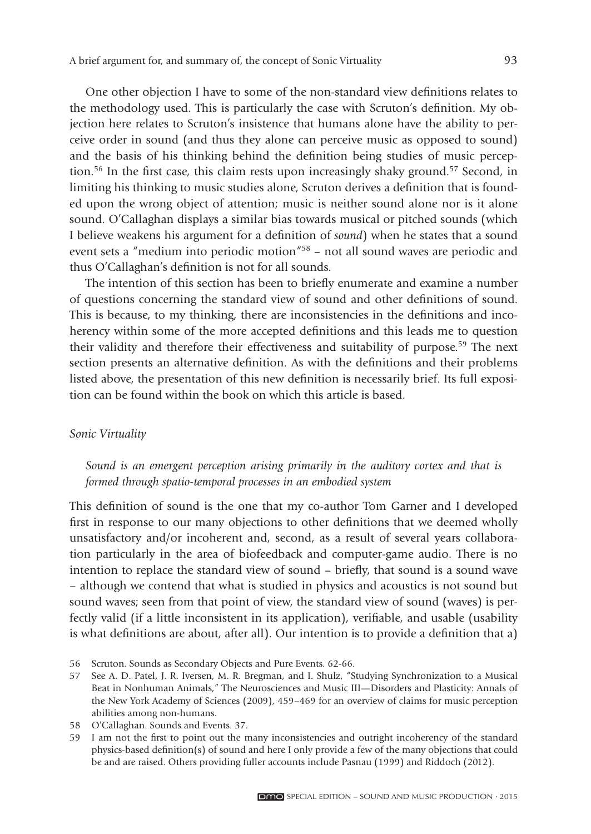One other objection I have to some of the non-standard view definitions relates to the methodology used. This is particularly the case with Scruton's definition. My objection here relates to Scruton's insistence that humans alone have the ability to perceive order in sound (and thus they alone can perceive music as opposed to sound) and the basis of his thinking behind the definition being studies of music perception.<sup>56</sup> In the first case, this claim rests upon increasingly shaky ground.<sup>57</sup> Second, in limiting his thinking to music studies alone, Scruton derives a definition that is founded upon the wrong object of attention; music is neither sound alone nor is it alone sound. O'Callaghan displays a similar bias towards musical or pitched sounds (which I believe weakens his argument for a definition of *sound*) when he states that a sound event sets a "medium into periodic motion"58 – not all sound waves are periodic and thus O'Callaghan's definition is not for all sounds.

The intention of this section has been to briefly enumerate and examine a number of questions concerning the standard view of sound and other definitions of sound. This is because, to my thinking, there are inconsistencies in the definitions and incoherency within some of the more accepted definitions and this leads me to question their validity and therefore their effectiveness and suitability of purpose.59 The next section presents an alternative definition. As with the definitions and their problems listed above, the presentation of this new definition is necessarily brief. Its full exposition can be found within the book on which this article is based.

### *Sonic Virtuality*

*Sound is an emergent perception arising primarily in the auditory cortex and that is formed through spatio-temporal processes in an embodied system*

This definition of sound is the one that my co-author Tom Garner and I developed first in response to our many objections to other definitions that we deemed wholly unsatisfactory and/or incoherent and, second, as a result of several years collaboration particularly in the area of biofeedback and computer-game audio. There is no intention to replace the standard view of sound – briefly, that sound is a sound wave – although we contend that what is studied in physics and acoustics is not sound but sound waves; seen from that point of view, the standard view of sound (waves) is perfectly valid (if a little inconsistent in its application), verifiable, and usable (usability is what definitions are about, after all). Our intention is to provide a definition that a)

<sup>56</sup> Scruton. Sounds as Secondary Objects and Pure Events. 62-66.

<sup>57</sup> See A. D. Patel, J. R. Iversen, M. R. Bregman, and I. Shulz, "Studying Synchronization to a Musical Beat in Nonhuman Animals," The Neurosciences and Music III—Disorders and Plasticity: Annals of the New York Academy of Sciences (2009), 459–469 for an overview of claims for music perception abilities among non-humans.

<sup>58</sup> O'Callaghan. Sounds and Events. 37.

<sup>59</sup> I am not the first to point out the many inconsistencies and outright incoherency of the standard physics-based definition(s) of sound and here I only provide a few of the many objections that could be and are raised. Others providing fuller accounts include Pasnau (1999) and Riddoch (2012).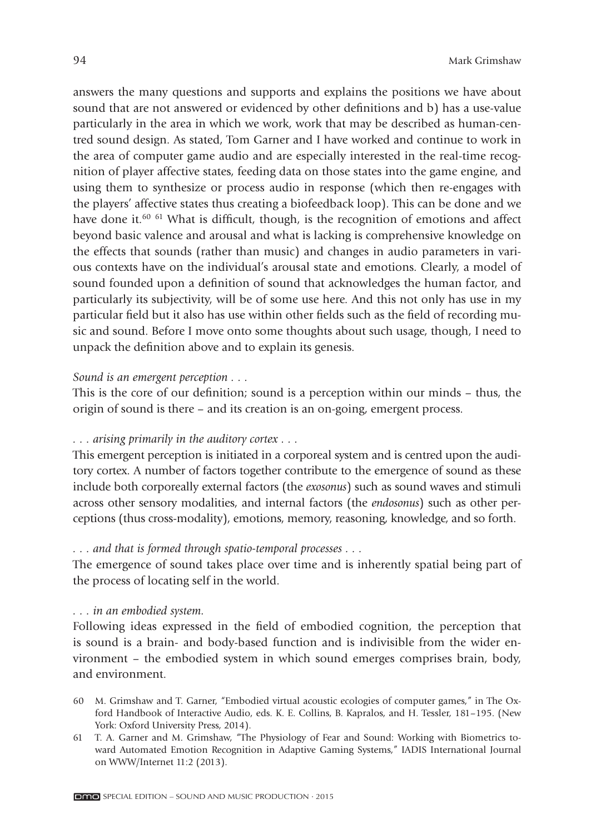answers the many questions and supports and explains the positions we have about sound that are not answered or evidenced by other definitions and b) has a use-value particularly in the area in which we work, work that may be described as human-centred sound design. As stated, Tom Garner and I have worked and continue to work in the area of computer game audio and are especially interested in the real-time recognition of player affective states, feeding data on those states into the game engine, and using them to synthesize or process audio in response (which then re-engages with the players' affective states thus creating a biofeedback loop). This can be done and we have done it.<sup>60 61</sup> What is difficult, though, is the recognition of emotions and affect beyond basic valence and arousal and what is lacking is comprehensive knowledge on the effects that sounds (rather than music) and changes in audio parameters in various contexts have on the individual's arousal state and emotions. Clearly, a model of sound founded upon a definition of sound that acknowledges the human factor, and particularly its subjectivity, will be of some use here. And this not only has use in my particular field but it also has use within other fields such as the field of recording music and sound. Before I move onto some thoughts about such usage, though, I need to unpack the definition above and to explain its genesis.

#### *Sound is an emergent perception . . .*

This is the core of our definition; sound is a perception within our minds – thus, the origin of sound is there – and its creation is an on-going, emergent process.

#### *. . . arising primarily in the auditory cortex . . .*

This emergent perception is initiated in a corporeal system and is centred upon the auditory cortex. A number of factors together contribute to the emergence of sound as these include both corporeally external factors (the *exosonus*) such as sound waves and stimuli across other sensory modalities, and internal factors (the *endosonus*) such as other perceptions (thus cross-modality), emotions, memory, reasoning, knowledge, and so forth.

### *. . . and that is formed through spatio-temporal processes . . .*

The emergence of sound takes place over time and is inherently spatial being part of the process of locating self in the world.

#### *. . . in an embodied system.*

Following ideas expressed in the field of embodied cognition, the perception that is sound is a brain- and body-based function and is indivisible from the wider environment – the embodied system in which sound emerges comprises brain, body, and environment.

- 60 M. Grimshaw and T. Garner, "Embodied virtual acoustic ecologies of computer games," in The Oxford Handbook of Interactive Audio, eds. K. E. Collins, B. Kapralos, and H. Tessler, 181–195. (New York: Oxford University Press, 2014).
- 61 T. A. Garner and M. Grimshaw, "The Physiology of Fear and Sound: Working with Biometrics toward Automated Emotion Recognition in Adaptive Gaming Systems," IADIS International Journal on WWW/Internet 11:2 (2013).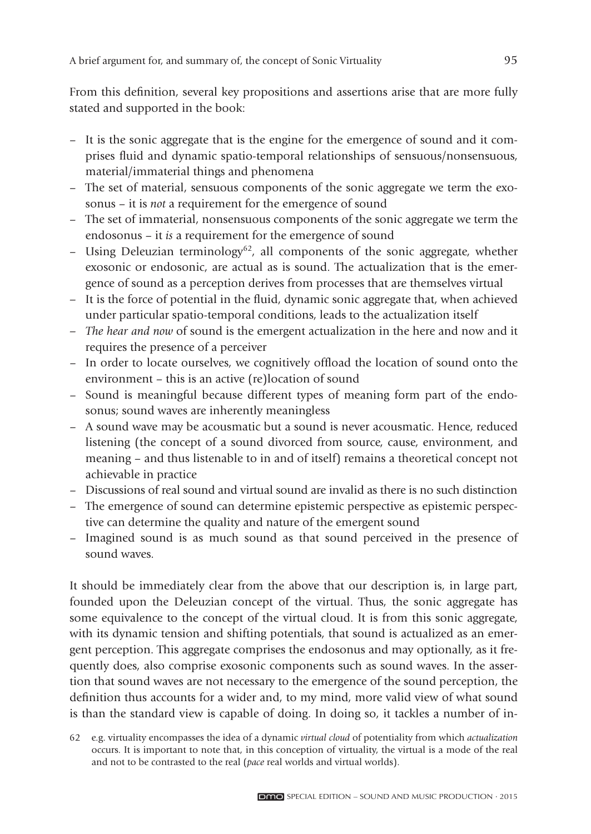From this definition, several key propositions and assertions arise that are more fully stated and supported in the book:

- It is the sonic aggregate that is the engine for the emergence of sound and it comprises fl uid and dynamic spatio-temporal relationships of sensuous/nonsensuous, material/immaterial things and phenomena
- The set of material, sensuous components of the sonic aggregate we term the exosonus – it is *not* a requirement for the emergence of sound
- The set of immaterial, nonsensuous components of the sonic aggregate we term the endosonus – it *is* a requirement for the emergence of sound
- Using Deleuzian terminology<sup>62</sup>, all components of the sonic aggregate, whether exo sonic or endosonic, are actual as is sound. The actualization that is the emergence of sound as a perception derives from processes that are themselves virtual
- It is the force of potential in the fluid, dynamic sonic aggregate that, when achieved under particular spatio-temporal conditions, leads to the actualization itself
- *The hear and now* of sound is the emergent actualization in the here and now and it requires the presence of a perceiver
- In order to locate ourselves, we cognitively offload the location of sound onto the environment – this is an active (re)location of sound
- Sound is meaningful because different types of meaning form part of the endosonus; sound waves are inherently meaningless
- A sound wave may be acousmatic but a sound is never acousmatic. Hence, reduced listening (the concept of a sound divorced from source, cause, environment, and meaning – and thus listenable to in and of itself) remains a theoretical concept not achievable in practice
- Discussions of real sound and virtual sound are invalid as there is no such distinction
- The emergence of sound can determine epistemic perspective as epistemic perspective can determine the quality and nature of the emergent sound
- Imagined sound is as much sound as that sound perceived in the presence of sound waves.

It should be immediately clear from the above that our description is, in large part, founded upon the Deleuzian concept of the virtual. Thus, the sonic aggregate has some equivalence to the concept of the virtual cloud. It is from this sonic aggregate, with its dynamic tension and shifting potentials, that sound is actualized as an emergent perception. This aggregate comprises the endosonus and may optionally, as it frequently does, also comprise exosonic components such as sound waves. In the assertion that sound waves are not necessary to the emergence of the sound perception, the definition thus accounts for a wider and, to my mind, more valid view of what sound is than the standard view is capable of doing. In doing so, it tackles a number of in-

<sup>62</sup> e.g. virtuality encompasses the idea of a dynamic *virtual cloud* of potentiality from which *actualization* occurs. It is important to note that, in this conception of virtuality, the virtual is a mode of the real and not to be contrasted to the real (*pace* real worlds and virtual worlds).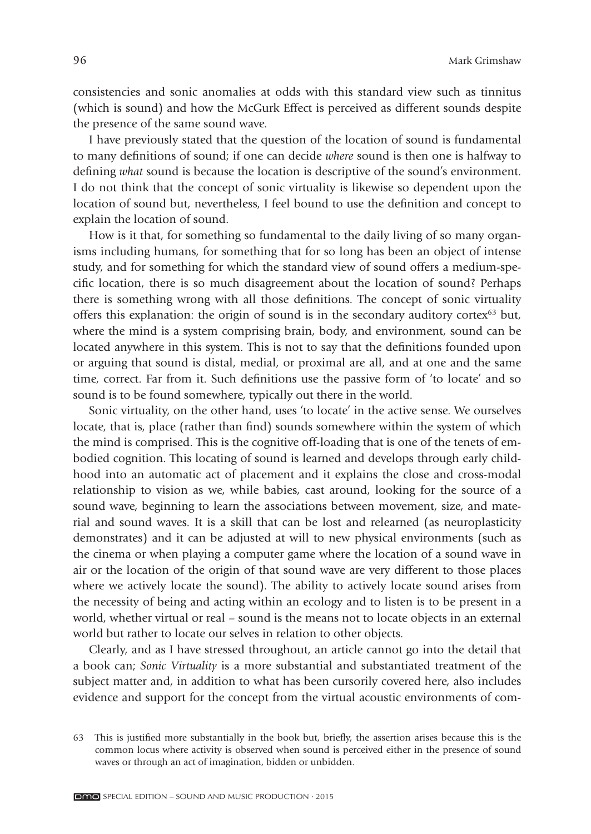consistencies and sonic anomalies at odds with this standard view such as tinnitus (which is sound) and how the McGurk Effect is perceived as different sounds despite the presence of the same sound wave.

I have previously stated that the question of the location of sound is fundamental to many definitions of sound; if one can decide *where* sound is then one is halfway to defining *what* sound is because the location is descriptive of the sound's environment. I do not think that the concept of sonic virtuality is likewise so dependent upon the location of sound but, nevertheless, I feel bound to use the definition and concept to explain the location of sound.

How is it that, for something so fundamental to the daily living of so many organisms including humans, for something that for so long has been an object of intense study, and for something for which the standard view of sound offers a medium-specific location, there is so much disagreement about the location of sound? Perhaps there is something wrong with all those definitions. The concept of sonic virtuality offers this explanation: the origin of sound is in the secondary auditory cortex $63$  but, where the mind is a system comprising brain, body, and environment, sound can be located anywhere in this system. This is not to say that the definitions founded upon or arguing that sound is distal, medial, or proximal are all, and at one and the same time, correct. Far from it. Such definitions use the passive form of 'to locate' and so sound is to be found somewhere, typically out there in the world.

Sonic virtuality, on the other hand, uses 'to locate' in the active sense. We ourselves locate, that is, place (rather than find) sounds somewhere within the system of which the mind is comprised. This is the cognitive off-loading that is one of the tenets of embodied cognition. This locating of sound is learned and develops through early childhood into an automatic act of placement and it explains the close and cross-modal relationship to vision as we, while babies, cast around, looking for the source of a sound wave, beginning to learn the associations between movement, size, and material and sound waves. It is a skill that can be lost and relearned (as neuroplasticity demonstrates) and it can be adjusted at will to new physical environments (such as the cinema or when playing a computer game where the location of a sound wave in air or the location of the origin of that sound wave are very different to those places where we actively locate the sound). The ability to actively locate sound arises from the necessity of being and acting within an ecology and to listen is to be present in a world, whether virtual or real – sound is the means not to locate objects in an external world but rather to locate our selves in relation to other objects.

Clearly, and as I have stressed throughout, an article cannot go into the detail that a book can; *Sonic Virtuality* is a more substantial and substantiated treatment of the subject matter and, in addition to what has been cursorily covered here, also includes evidence and support for the concept from the virtual acoustic environments of com-

<sup>63</sup> This is justified more substantially in the book but, briefly, the assertion arises because this is the common locus where activity is observed when sound is perceived either in the presence of sound waves or through an act of imagination, bidden or unbidden.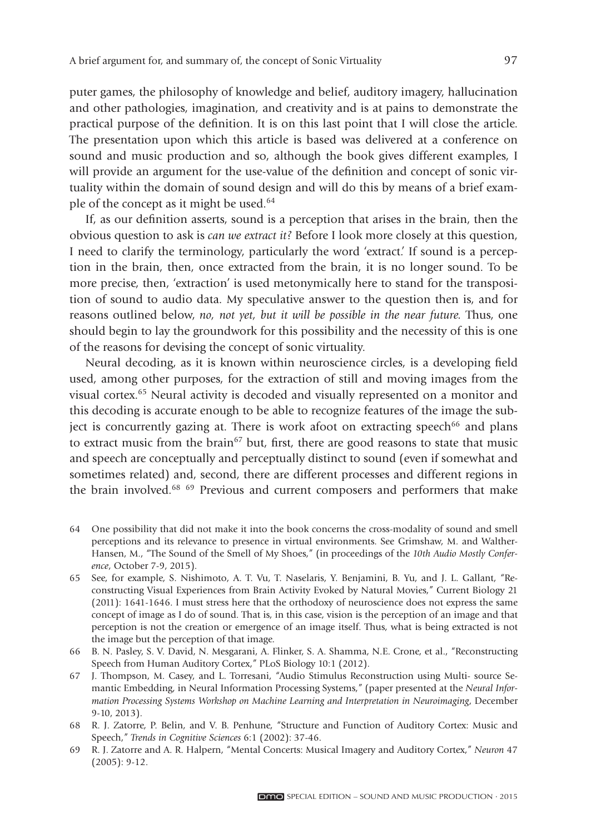puter games, the philosophy of knowledge and belief, auditory imagery, hallucination and other pathologies, imagination, and creativity and is at pains to demonstrate the practical purpose of the definition. It is on this last point that I will close the article. The presentation upon which this article is based was delivered at a conference on sound and music production and so, although the book gives different examples, I will provide an argument for the use-value of the definition and concept of sonic virtuality within the domain of sound design and will do this by means of a brief example of the concept as it might be used.64

If, as our definition asserts, sound is a perception that arises in the brain, then the obvious question to ask is *can we extract it?* Before I look more closely at this question, I need to clarify the terminology, particularly the word 'extract.' If sound is a perception in the brain, then, once extracted from the brain, it is no longer sound. To be more precise, then, 'extraction' is used metonymically here to stand for the transposition of sound to audio data. My speculative answer to the question then is, and for reasons outlined below, *no, not yet, but it will be possible in the near future.* Thus, one should begin to lay the groundwork for this possibility and the necessity of this is one of the reasons for devising the concept of sonic virtuality.

Neural decoding, as it is known within neuroscience circles, is a developing field used, among other purposes, for the extraction of still and moving images from the visual cortex.65 Neural activity is decoded and visually represented on a monitor and this decoding is accurate enough to be able to recognize features of the image the subject is concurrently gazing at. There is work afoot on extracting speech<sup>66</sup> and plans to extract music from the brain<sup>67</sup> but, first, there are good reasons to state that music and speech are conceptually and perceptually distinct to sound (even if somewhat and sometimes related) and, second, there are different processes and different regions in the brain involved.<sup>68 69</sup> Previous and current composers and performers that make

- 64 One possibility that did not make it into the book concerns the cross-modality of sound and smell perceptions and its relevance to presence in virtual environments. See Grimshaw, M. and Walther-Hansen, M., "The Sound of the Smell of My Shoes," (in proceedings of the *10th Audio Mostly Conference*, October 7-9, 2015).
- 65 See, for example, S. Nishimoto, A. T. Vu, T. Naselaris, Y. Benjamini, B. Yu, and J. L. Gallant, "Reconstructing Visual Experiences from Brain Activity Evoked by Natural Movies," Current Biology 21 (2011): 1641-1646. I must stress here that the orthodoxy of neuroscience does not express the same concept of image as I do of sound. That is, in this case, vision is the perception of an image and that perception is not the creation or emergence of an image itself. Thus, what is being extracted is not the image but the perception of that image.
- 66 B. N. Pasley, S. V. David, N. Mesgarani, A. Flinker, S. A. Shamma, N.E. Crone, et al., "Reconstructing Speech from Human Auditory Cortex," PLoS Biology 10:1 (2012).
- 67 J. Thompson, M. Casey, and L. Torresani, "Audio Stimulus Reconstruction using Multi- source Semantic Embedding, in Neural Information Processing Systems," (paper presented at the *Neural Information Processing Systems Workshop on Machine Learning and Interpretation in Neuroimaging*, December 9-10, 2013).
- 68 R. J. Zatorre, P. Belin, and V. B. Penhune, "Structure and Function of Auditory Cortex: Music and Speech," *Trends in Cognitive Sciences* 6:1 (2002): 37-46.
- 69 R. J. Zatorre and A. R. Halpern, "Mental Concerts: Musical Imagery and Auditory Cortex," *Neuron* 47 (2005): 9-12.